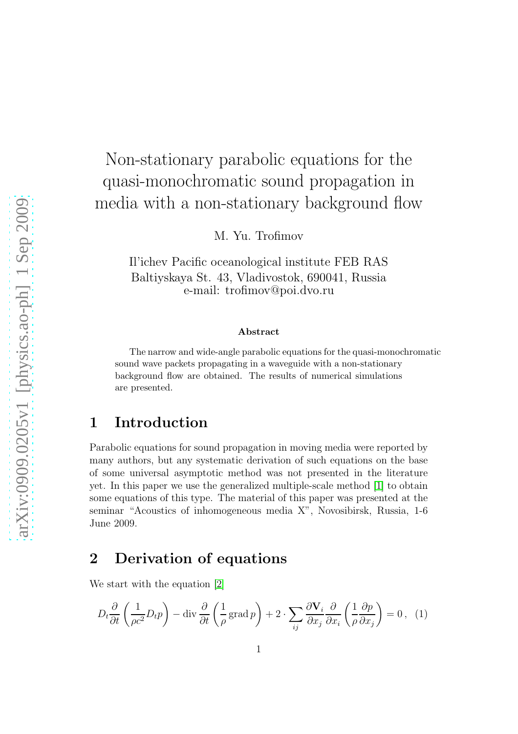# Non-stationary parabolic equations for the quasi-monochromatic sound propagation in media with a non-stationary background flow

M. Yu. Trofimov

Il'ichev Pacific oceanological institute FEB RAS Baltiyskaya St. 43, Vladivostok, 690041, Russia e-mail: trofimov@poi.dvo.ru

#### Abstract

The narrow and wide-angle parabolic equations for the quasi-monochromatic sound wave packets propagating in a waveguide with a non-stationary background flow are obtained. The results of numerical simulations are presented.

### 1 Introduction

Parabolic equations for sound propagation in moving media were reported by many authors, but any systematic derivation of such equations on the base of some universal asymptotic method was not presented in the literature yet. In this paper we use the generalized multiple-scale method [\[1\]](#page-4-0) to obtain some equations of this type. The material of this paper was presented at the seminar "Acoustics of inhomogeneous media X", Novosibirsk, Russia, 1-6 June 2009.

### 2 Derivation of equations

We start with the equation [\[2\]](#page-5-0)

<span id="page-0-0"></span>
$$
D_t \frac{\partial}{\partial t} \left( \frac{1}{\rho c^2} D_t p \right) - \text{div} \frac{\partial}{\partial t} \left( \frac{1}{\rho} \text{grad } p \right) + 2 \cdot \sum_{ij} \frac{\partial \mathbf{V}_i}{\partial x_j} \frac{\partial}{\partial x_i} \left( \frac{1}{\rho} \frac{\partial p}{\partial x_j} \right) = 0, \tag{1}
$$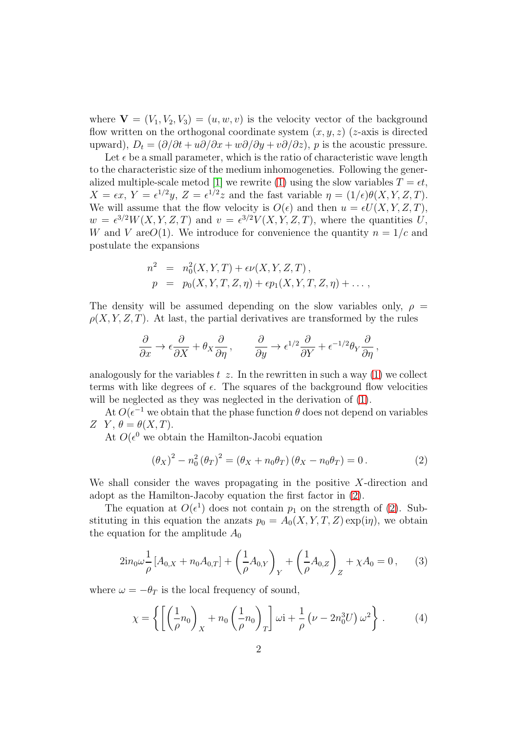where  $\mathbf{V} = (V_1, V_2, V_3) = (u, w, v)$  is the velocity vector of the background flow written on the orthogonal coordinate system  $(x, y, z)$  (*z*-axis is directed upward),  $D_t = (\partial/\partial t + u\partial/\partial x + w\partial/\partial y + v\partial/\partial z)$ , p is the acoustic pressure.

Let  $\epsilon$  be a small parameter, which is the ratio of characteristic wave length to the characteristic size of the medium inhomogeneties. Following the gener-alized multiple-scale metod [\[1\]](#page-4-0) we rewrite [\(1\)](#page-0-0) using the slow variables  $T = \epsilon t$ ,  $X = \epsilon x$ ,  $Y = \epsilon^{1/2} y$ ,  $Z = \epsilon^{1/2} z$  and the fast variable  $\eta = (1/\epsilon)\theta(X, Y, Z, T)$ . We will assume that the flow velocity is  $O(\epsilon)$  and then  $u = \epsilon U(X, Y, Z, T)$ ,  $w = \epsilon^{3/2}W(X, Y, Z, T)$  and  $v = \epsilon^{3/2}V(X, Y, Z, T)$ , where the quantities U, W and V are  $O(1)$ . We introduce for convenience the quantity  $n = 1/c$  and postulate the expansions

$$
n2 = n02(X, Y, T) + \epsilon \nu(X, Y, Z, T),
$$
  
\n
$$
p = p0(X, Y, T, Z, \eta) + \epsilon p1(X, Y, T, Z, \eta) + \ldots,
$$

The density will be assumed depending on the slow variables only,  $\rho =$  $\rho(X, Y, Z, T)$ . At last, the partial derivatives are transformed by the rules

$$
\frac{\partial}{\partial x} \to \epsilon \frac{\partial}{\partial X} + \theta_X \frac{\partial}{\partial \eta} , \qquad \frac{\partial}{\partial y} \to \epsilon^{1/2} \frac{\partial}{\partial Y} + \epsilon^{-1/2} \theta_Y \frac{\partial}{\partial \eta} ,
$$

analogously for the variables  $t \, z$ . In the rewritten in such a way [\(1\)](#page-0-0) we collect terms with like degrees of  $\epsilon$ . The squares of the background flow velocities will be neglected as they was neglected in the derivation of  $(1)$ .

At  $O(\epsilon^{-1}$  we obtain that the phase function  $\theta$  does not depend on variables Z Y,  $\theta = \theta(X,T)$ .

At  $O(\epsilon^0)$  we obtain the Hamilton-Jacobi equation

<span id="page-1-0"></span>
$$
(\theta_X)^2 - n_0^2 (\theta_T)^2 = (\theta_X + n_0 \theta_T) (\theta_X - n_0 \theta_T) = 0.
$$
 (2)

We shall consider the waves propagating in the positive  $X$ -direction and adopt as the Hamilton-Jacoby equation the first factor in [\(2\)](#page-1-0).

The equation at  $O(\epsilon^1)$  does not contain  $p_1$  on the strength of [\(2\)](#page-1-0). Substituting in this equation the anzats  $p_0 = A_0(X, Y, T, Z) \exp(i\eta)$ , we obtain the equation for the amplitude  $A_0$ 

<span id="page-1-1"></span>
$$
2in_0\omega \frac{1}{\rho}[A_{0,X} + n_0A_{0,T}] + \left(\frac{1}{\rho}A_{0,Y}\right)_Y + \left(\frac{1}{\rho}A_{0,Z}\right)_Z + \chi A_0 = 0, \quad (3)
$$

where  $\omega = -\theta_T$  is the local frequency of sound,

$$
\chi = \left\{ \left[ \left( \frac{1}{\rho} n_0 \right)_X + n_0 \left( \frac{1}{\rho} n_0 \right)_T \right] \omega i + \frac{1}{\rho} \left( \nu - 2n_0^3 U \right) \omega^2 \right\} . \tag{4}
$$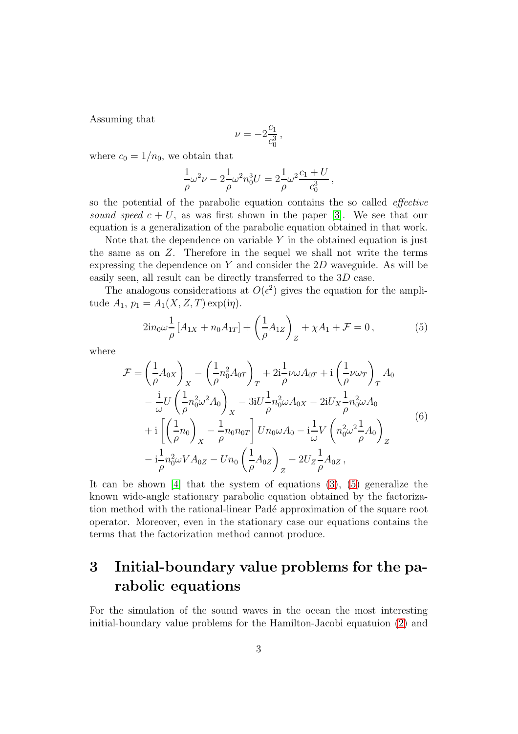Assuming that

$$
\nu = -2\frac{c_1}{c_0^3} \,,
$$

where  $c_0 = 1/n_0$ , we obtain that

$$
\frac{1}{\rho}\omega^2 \nu - 2\frac{1}{\rho}\omega^2 n_0^3 U = 2\frac{1}{\rho}\omega^2 \frac{c_1 + U}{c_0^3},
$$

so the potential of the parabolic equation contains the so called effective sound speed  $c + U$ , as was first shown in the paper [\[3\]](#page-5-1). We see that our equation is a generalization of the parabolic equation obtained in that work.

Note that the dependence on variable  $Y$  in the obtained equation is just the same as on Z. Therefore in the sequel we shall not write the terms expressing the dependence on  $Y$  and consider the  $2D$  waveguide. As will be easily seen, all result can be directly transferred to the 3D case.

The analogous considerations at  $O(\epsilon^2)$  gives the equation for the amplitude  $A_1, p_1 = A_1(X, Z, T) \exp(i\eta)$ .

<span id="page-2-0"></span>
$$
2in_0\omega \frac{1}{\rho}[A_{1X} + n_0A_{1T}] + \left(\frac{1}{\rho}A_{1Z}\right)_Z + \chi A_1 + \mathcal{F} = 0, \qquad (5)
$$

where

$$
\mathcal{F} = \left(\frac{1}{\rho}A_{0X}\right)_{X} - \left(\frac{1}{\rho}n_{0}^{2}A_{0T}\right)_{T} + 2i\frac{1}{\rho}\nu\omega A_{0T} + i\left(\frac{1}{\rho}\nu\omega_{T}\right)_{T} A_{0} \n- \frac{i}{\omega}U\left(\frac{1}{\rho}n_{0}^{2}\omega^{2}A_{0}\right)_{X} - 3iU\frac{1}{\rho}n_{0}^{2}\omega A_{0X} - 2iU_{X}\frac{1}{\rho}n_{0}^{2}\omega A_{0} \n+ i\left[\left(\frac{1}{\rho}n_{0}\right)_{X} - \frac{1}{\rho}n_{0}n_{0T}\right]Un_{0}\omega A_{0} - i\frac{1}{\omega}V\left(n_{0}^{2}\omega^{2}\frac{1}{\rho}A_{0}\right)_{Z} \n- i\frac{1}{\rho}n_{0}^{2}\omega V A_{0Z} - Un_{0}\left(\frac{1}{\rho}A_{0Z}\right)_{Z} - 2U_{Z}\frac{1}{\rho}A_{0Z},
$$
\n(6)

It can be shown [\[4\]](#page-5-2) that the system of equations  $(3)$ ,  $(5)$  generalize the known wide-angle stationary parabolic equation obtained by the factorization method with the rational-linear Padé approximation of the square root operator. Moreover, even in the stationary case our equations contains the terms that the factorization method cannot produce.

## 3 Initial-boundary value problems for the parabolic equations

For the simulation of the sound waves in the ocean the most interesting initial-boundary value problems for the Hamilton-Jacobi equatuion [\(2\)](#page-1-0) and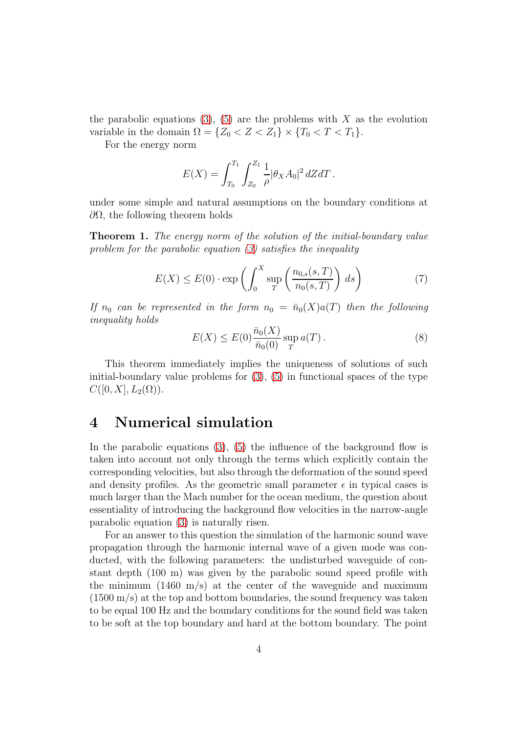the parabolic equations [\(3\)](#page-1-1), [\(5\)](#page-2-0) are the problems with X as the evolution variable in the domain  $\Omega = \{Z_0 < Z < Z_1\} \times \{T_0 < T < T_1\}.$ 

For the energy norm

$$
E(X) = \int_{T_0}^{T_1} \int_{Z_0}^{Z_1} \frac{1}{\rho} |\theta_X A_0|^2 dZ dT.
$$

under some simple and natural assumptions on the boundary conditions at  $\partial Ω$ , the following theorem holds

Theorem 1. The energy norm of the solution of the initial-boundary value problem for the parabolic equation [\(3\)](#page-1-1) satisfies the inequality

$$
E(X) \le E(0) \cdot \exp\left(\int_0^X \sup_T \left(\frac{n_{0,s}(s,T)}{n_0(s,T)}\right) ds\right) \tag{7}
$$

If  $n_0$  can be represented in the form  $n_0 = \bar{n}_0(X)a(T)$  then the following inequality holds

$$
E(X) \le E(0) \frac{\bar{n}_0(X)}{\bar{n}_0(0)} \sup_T a(T).
$$
 (8)

This theorem immediately implies the uniqueness of solutions of such initial-boundary value problems for  $(3)$ ,  $(5)$  in functional spaces of the type  $C([0, X], L_2(\Omega)).$ 

#### 4 Numerical simulation

In the parabolic equations  $(3)$ ,  $(5)$  the influence of the background flow is taken into account not only through the terms which explicitly contain the corresponding velocities, but also through the deformation of the sound speed and density profiles. As the geometric small parameter  $\epsilon$  in typical cases is much larger than the Mach number for the ocean medium, the question about essentiality of introducing the background flow velocities in the narrow-angle parabolic equation [\(3\)](#page-1-1) is naturally risen.

For an answer to this question the simulation of the harmonic sound wave propagation through the harmonic internal wave of a given mode was conducted, with the following parameters: the undisturbed waveguide of constant depth (100 m) was given by the parabolic sound speed profile with the minimum  $(1460 \text{ m/s})$  at the center of the waveguide and maximum (1500 m/s) at the top and bottom boundaries, the sound frequency was taken to be equal 100 Hz and the boundary conditions for the sound field was taken to be soft at the top boundary and hard at the bottom boundary. The point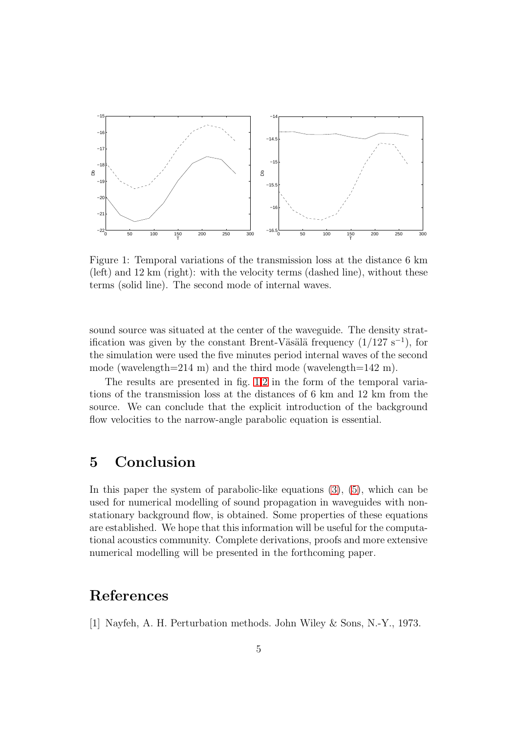

<span id="page-4-1"></span>Figure 1: Temporal variations of the transmission loss at the distance 6 km (left) and 12 km (right): with the velocity terms (dashed line), without these terms (solid line). The second mode of internal waves.

sound source was situated at the center of the waveguide. The density stratification was given by the constant Brent-Väsälä frequency  $(1/127 \text{ s}^{-1})$ , for the simulation were used the five minutes period internal waves of the second mode (wavelength=214 m) and the third mode (wavelength=142 m).

The results are presented in fig. [1](#page-4-1)[,2](#page-5-3) in the form of the temporal variations of the transmission loss at the distances of 6 km and 12 km from the source. We can conclude that the explicit introduction of the background flow velocities to the narrow-angle parabolic equation is essential.

### 5 Conclusion

In this paper the system of parabolic-like equations  $(3)$ ,  $(5)$ , which can be used for numerical modelling of sound propagation in waveguides with nonstationary background flow, is obtained. Some properties of these equations are established. We hope that this information will be useful for the computational acoustics community. Complete derivations, proofs and more extensive numerical modelling will be presented in the forthcoming paper.

### <span id="page-4-0"></span>References

[1] Nayfeh, A. H. Perturbation methods. John Wiley & Sons, N.-Y., 1973.